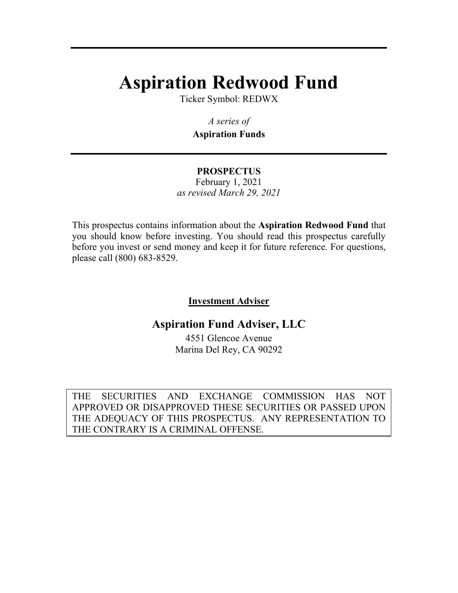# **Aspiration Redwood Fund**

Ticker Symbol: REDWX

*A series of*  **Aspiration Funds**

### **PROSPECTUS**  February 1, 2021 *as revised March 29, 2021*

This prospectus contains information about the **Aspiration Redwood Fund** that you should know before investing. You should read this prospectus carefully before you invest or send money and keep it for future reference. For questions, please call (800) 683-8529.

# **Investment Adviser**

# **Aspiration Fund Adviser, LLC**

4551 Glencoe Avenue Marina Del Rey, CA 90292

THE SECURITIES AND EXCHANGE COMMISSION HAS NOT APPROVED OR DISAPPROVED THESE SECURITIES OR PASSED UPON THE ADEQUACY OF THIS PROSPECTUS. ANY REPRESENTATION TO THE CONTRARY IS A CRIMINAL OFFENSE.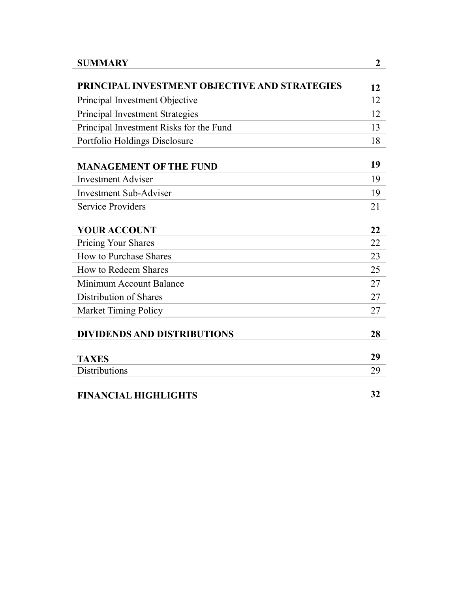| <b>SUMMARY</b>                                | $\overline{2}$ |
|-----------------------------------------------|----------------|
| PRINCIPAL INVESTMENT OBJECTIVE AND STRATEGIES | 12             |
| Principal Investment Objective                | 12             |
| Principal Investment Strategies               | 12             |
| Principal Investment Risks for the Fund       | 13             |
| Portfolio Holdings Disclosure                 | 18             |
| <b>MANAGEMENT OF THE FUND</b>                 | 19             |
| <b>Investment Adviser</b>                     | 19             |
| <b>Investment Sub-Adviser</b>                 | 19             |
| <b>Service Providers</b>                      | 21             |
| <b>YOUR ACCOUNT</b>                           | 22             |
| <b>Pricing Your Shares</b>                    | 22             |
| How to Purchase Shares                        | 23             |
| How to Redeem Shares                          | 25             |
| Minimum Account Balance                       | 27             |
| Distribution of Shares                        | 27             |
| <b>Market Timing Policy</b>                   | 27             |
| <b>DIVIDENDS AND DISTRIBUTIONS</b>            | 28             |
| <b>TAXES</b>                                  | 29             |
| <b>Distributions</b>                          | 29             |
| <b>FINANCIAL HIGHLIGHTS</b>                   | 32             |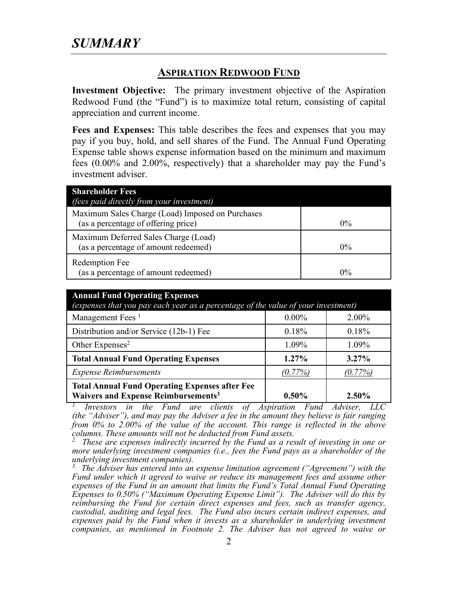# **ASPIRATION REDWOOD FUND**

**Investment Objective:** The primary investment objective of the Aspiration Redwood Fund (the "Fund") is to maximize total return, consisting of capital appreciation and current income.

**Fees and Expenses:** This table describes the fees and expenses that you may pay if you buy, hold, and sell shares of the Fund. The Annual Fund Operating Expense table shows expense information based on the minimum and maximum fees (0.00% and 2.00%, respectively) that a shareholder may pay the Fund's investment adviser.

| <b>Shareholder Fees</b>                          |       |
|--------------------------------------------------|-------|
| <i>(fees paid directly from your investment)</i> |       |
| Maximum Sales Charge (Load) Imposed on Purchases |       |
| (as a percentage of offering price)              | $0\%$ |
| Maximum Deferred Sales Charge (Load)             |       |
| (as a percentage of amount redeemed)             | $0\%$ |
| Redemption Fee                                   |       |
| (as a percentage of amount redeemed)             | $0\%$ |

| <b>Annual Fund Operating Expenses</b><br>(expenses that you pay each year as a percentage of the value of your investment) |            |          |
|----------------------------------------------------------------------------------------------------------------------------|------------|----------|
| Management Fees <sup>1</sup>                                                                                               | $0.00\%$   | $2.00\%$ |
| Distribution and/or Service (12b-1) Fee                                                                                    | 0.18%      | 0.18%    |
| Other Expenses <sup>2</sup>                                                                                                | 1.09%      | 1.09%    |
| <b>Total Annual Fund Operating Expenses</b>                                                                                | $1.27\%$   | $3.27\%$ |
| <b>Expense Reimbursements</b>                                                                                              | $(0.77\%)$ | (0.77%)  |
| <b>Total Annual Fund Operating Expenses after Fee</b><br>Waivers and Expense Reimbursements <sup>3</sup>                   | $0.50\%$   | 2.50%    |

*1. Investors in the Fund are clients of Aspiration Fund Adviser, LLC (the "Adviser"), and may pay the Adviser a fee in the amount they believe is fair ranging from 0% to 2.00% of the value of the account. This range is reflected in the above columns. These amounts will not be deducted from Fund assets.* 

*2. These are expenses indirectly incurred by the Fund as a result of investing in one or more underlying investment companies (i.e., fees the Fund pays as a shareholder of the underlying investment companies).* 

*3. The Adviser has entered into an expense limitation agreement ("Agreement") with the Fund under which it agreed to waive or reduce its management fees and assume other expenses of the Fund in an amount that limits the Fund's Total Annual Fund Operating Expenses to 0.50% ("Maximum Operating Expense Limit"). The Adviser will do this by reimbursing the Fund for certain direct expenses and fees, such as transfer agency, custodial, auditing and legal fees. The Fund also incurs certain indirect expenses, and expenses paid by the Fund when it invests as a shareholder in underlying investment companies, as mentioned in Footnote 2. The Adviser has not agreed to waive or*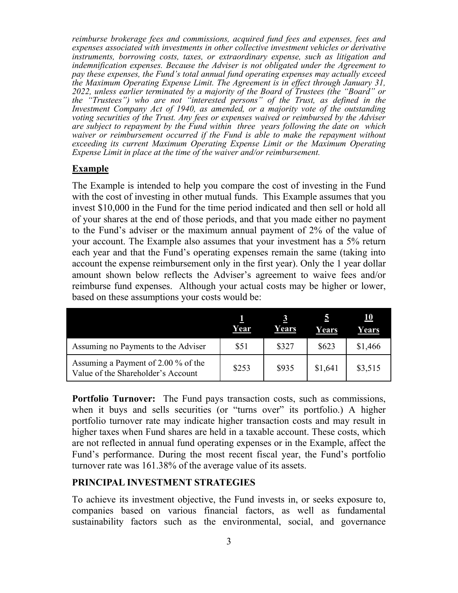*reimburse brokerage fees and commissions, acquired fund fees and expenses, fees and expenses associated with investments in other collective investment vehicles or derivative instruments, borrowing costs, taxes, or extraordinary expense, such as litigation and indemnification expenses. Because the Adviser is not obligated under the Agreement to pay these expenses, the Fund's total annual fund operating expenses may actually exceed the Maximum Operating Expense Limit. The Agreement is in effect through January 31, 2022, unless earlier terminated by a majority of the Board of Trustees (the "Board" or the "Trustees") who are not "interested persons" of the Trust, as defined in the Investment Company Act of 1940, as amended, or a majority vote of the outstanding voting securities of the Trust. Any fees or expenses waived or reimbursed by the Adviser are subject to repayment by the Fund within three years following the date on which waiver or reimbursement occurred if the Fund is able to make the repayment without exceeding its current Maximum Operating Expense Limit or the Maximum Operating Expense Limit in place at the time of the waiver and/or reimbursement.* 

## **Example**

The Example is intended to help you compare the cost of investing in the Fund with the cost of investing in other mutual funds. This Example assumes that you invest \$10,000 in the Fund for the time period indicated and then sell or hold all of your shares at the end of those periods, and that you made either no payment to the Fund's adviser or the maximum annual payment of 2% of the value of your account. The Example also assumes that your investment has a 5% return each year and that the Fund's operating expenses remain the same (taking into account the expense reimbursement only in the first year). Only the 1 year dollar amount shown below reflects the Adviser's agreement to waive fees and/or reimburse fund expenses. Although your actual costs may be higher or lower, based on these assumptions your costs would be:

|                                                                           | Year  | Years | Đ.<br>Years | 10<br>Years |
|---------------------------------------------------------------------------|-------|-------|-------------|-------------|
| Assuming no Payments to the Adviser                                       | \$51  | \$327 | \$623       | \$1,466     |
| Assuming a Payment of 2.00 % of the<br>Value of the Shareholder's Account | \$253 | \$935 | \$1,641     | \$3,515     |

**Portfolio Turnover:** The Fund pays transaction costs, such as commissions, when it buys and sells securities (or "turns over" its portfolio.) A higher portfolio turnover rate may indicate higher transaction costs and may result in higher taxes when Fund shares are held in a taxable account. These costs, which are not reflected in annual fund operating expenses or in the Example, affect the Fund's performance. During the most recent fiscal year, the Fund's portfolio turnover rate was 161.38% of the average value of its assets.

# **PRINCIPAL INVESTMENT STRATEGIES**

To achieve its investment objective, the Fund invests in, or seeks exposure to, companies based on various financial factors, as well as fundamental sustainability factors such as the environmental, social, and governance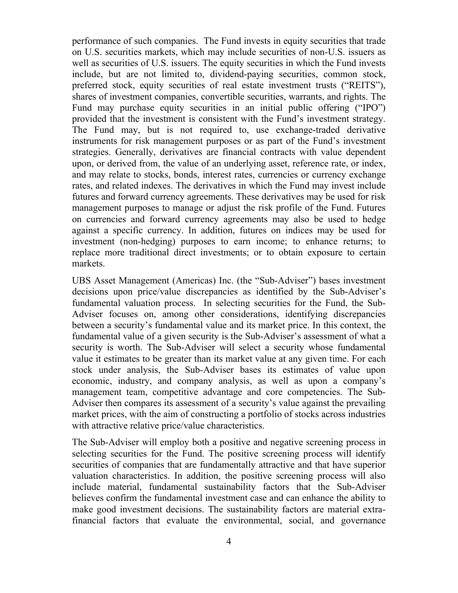performance of such companies. The Fund invests in equity securities that trade on U.S. securities markets, which may include securities of non-U.S. issuers as well as securities of U.S. issuers. The equity securities in which the Fund invests include, but are not limited to, dividend-paying securities, common stock, preferred stock, equity securities of real estate investment trusts ("REITS"), shares of investment companies, convertible securities, warrants, and rights. The Fund may purchase equity securities in an initial public offering ("IPO") provided that the investment is consistent with the Fund's investment strategy. The Fund may, but is not required to, use exchange-traded derivative instruments for risk management purposes or as part of the Fund's investment strategies. Generally, derivatives are financial contracts with value dependent upon, or derived from, the value of an underlying asset, reference rate, or index, and may relate to stocks, bonds, interest rates, currencies or currency exchange rates, and related indexes. The derivatives in which the Fund may invest include futures and forward currency agreements. These derivatives may be used for risk management purposes to manage or adjust the risk profile of the Fund. Futures on currencies and forward currency agreements may also be used to hedge against a specific currency. In addition, futures on indices may be used for investment (non-hedging) purposes to earn income; to enhance returns; to replace more traditional direct investments; or to obtain exposure to certain markets.

UBS Asset Management (Americas) Inc. (the "Sub-Adviser") bases investment decisions upon price/value discrepancies as identified by the Sub-Adviser's fundamental valuation process. In selecting securities for the Fund, the Sub-Adviser focuses on, among other considerations, identifying discrepancies between a security's fundamental value and its market price. In this context, the fundamental value of a given security is the Sub-Adviser's assessment of what a security is worth. The Sub-Adviser will select a security whose fundamental value it estimates to be greater than its market value at any given time. For each stock under analysis, the Sub-Adviser bases its estimates of value upon economic, industry, and company analysis, as well as upon a company's management team, competitive advantage and core competencies. The Sub-Adviser then compares its assessment of a security's value against the prevailing market prices, with the aim of constructing a portfolio of stocks across industries with attractive relative price/value characteristics.

The Sub-Adviser will employ both a positive and negative screening process in selecting securities for the Fund. The positive screening process will identify securities of companies that are fundamentally attractive and that have superior valuation characteristics. In addition, the positive screening process will also include material, fundamental sustainability factors that the Sub-Adviser believes confirm the fundamental investment case and can enhance the ability to make good investment decisions. The sustainability factors are material extrafinancial factors that evaluate the environmental, social, and governance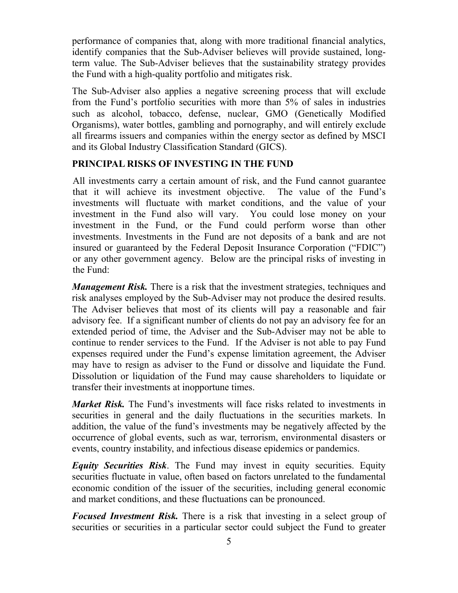performance of companies that, along with more traditional financial analytics, identify companies that the Sub-Adviser believes will provide sustained, longterm value. The Sub-Adviser believes that the sustainability strategy provides the Fund with a high-quality portfolio and mitigates risk.

The Sub-Adviser also applies a negative screening process that will exclude from the Fund's portfolio securities with more than 5% of sales in industries such as alcohol, tobacco, defense, nuclear, GMO (Genetically Modified Organisms), water bottles, gambling and pornography, and will entirely exclude all firearms issuers and companies within the energy sector as defined by MSCI and its Global Industry Classification Standard (GICS).

# **PRINCIPAL RISKS OF INVESTING IN THE FUND**

All investments carry a certain amount of risk, and the Fund cannot guarantee that it will achieve its investment objective. The value of the Fund's investments will fluctuate with market conditions, and the value of your investment in the Fund also will vary. You could lose money on your investment in the Fund, or the Fund could perform worse than other investments. Investments in the Fund are not deposits of a bank and are not insured or guaranteed by the Federal Deposit Insurance Corporation ("FDIC") or any other government agency. Below are the principal risks of investing in the Fund:

*Management Risk.* There is a risk that the investment strategies, techniques and risk analyses employed by the Sub-Adviser may not produce the desired results. The Adviser believes that most of its clients will pay a reasonable and fair advisory fee. If a significant number of clients do not pay an advisory fee for an extended period of time, the Adviser and the Sub-Adviser may not be able to continue to render services to the Fund. If the Adviser is not able to pay Fund expenses required under the Fund's expense limitation agreement, the Adviser may have to resign as adviser to the Fund or dissolve and liquidate the Fund. Dissolution or liquidation of the Fund may cause shareholders to liquidate or transfer their investments at inopportune times.

*Market Risk.* The Fund's investments will face risks related to investments in securities in general and the daily fluctuations in the securities markets. In addition, the value of the fund's investments may be negatively affected by the occurrence of global events, such as war, terrorism, environmental disasters or events, country instability, and infectious disease epidemics or pandemics.

*Equity Securities Risk*. The Fund may invest in equity securities. Equity securities fluctuate in value, often based on factors unrelated to the fundamental economic condition of the issuer of the securities, including general economic and market conditions, and these fluctuations can be pronounced.

*Focused Investment Risk.* There is a risk that investing in a select group of securities or securities in a particular sector could subject the Fund to greater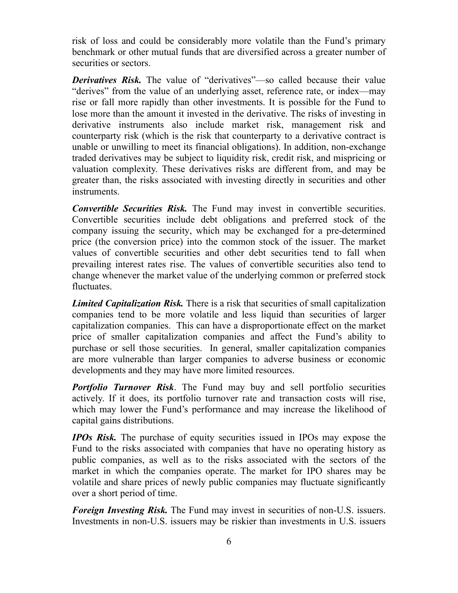risk of loss and could be considerably more volatile than the Fund's primary benchmark or other mutual funds that are diversified across a greater number of securities or sectors.

*Derivatives Risk.* The value of "derivatives"—so called because their value "derives" from the value of an underlying asset, reference rate, or index—may rise or fall more rapidly than other investments. It is possible for the Fund to lose more than the amount it invested in the derivative. The risks of investing in derivative instruments also include market risk, management risk and counterparty risk (which is the risk that counterparty to a derivative contract is unable or unwilling to meet its financial obligations). In addition, non-exchange traded derivatives may be subject to liquidity risk, credit risk, and mispricing or valuation complexity. These derivatives risks are different from, and may be greater than, the risks associated with investing directly in securities and other instruments.

*Convertible Securities Risk.* The Fund may invest in convertible securities. Convertible securities include debt obligations and preferred stock of the company issuing the security, which may be exchanged for a pre-determined price (the conversion price) into the common stock of the issuer. The market values of convertible securities and other debt securities tend to fall when prevailing interest rates rise. The values of convertible securities also tend to change whenever the market value of the underlying common or preferred stock fluctuates.

*Limited Capitalization Risk.* There is a risk that securities of small capitalization companies tend to be more volatile and less liquid than securities of larger capitalization companies. This can have a disproportionate effect on the market price of smaller capitalization companies and affect the Fund's ability to purchase or sell those securities. In general, smaller capitalization companies are more vulnerable than larger companies to adverse business or economic developments and they may have more limited resources.

*Portfolio Turnover Risk*. The Fund may buy and sell portfolio securities actively. If it does, its portfolio turnover rate and transaction costs will rise, which may lower the Fund's performance and may increase the likelihood of capital gains distributions.

*IPOs Risk.* The purchase of equity securities issued in IPOs may expose the Fund to the risks associated with companies that have no operating history as public companies, as well as to the risks associated with the sectors of the market in which the companies operate. The market for IPO shares may be volatile and share prices of newly public companies may fluctuate significantly over a short period of time.

*Foreign Investing Risk.* The Fund may invest in securities of non-U.S. issuers. Investments in non-U.S. issuers may be riskier than investments in U.S. issuers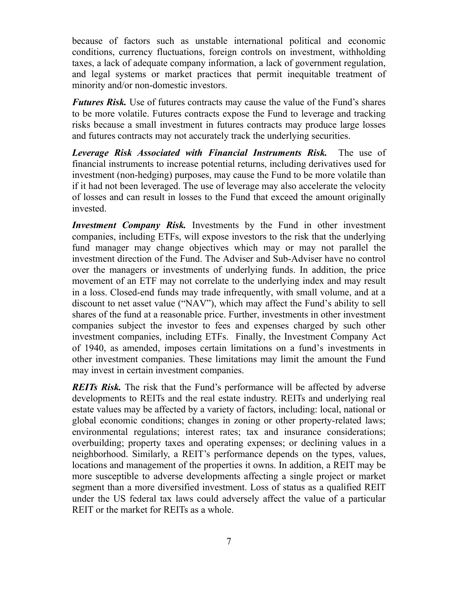because of factors such as unstable international political and economic conditions, currency fluctuations, foreign controls on investment, withholding taxes, a lack of adequate company information, a lack of government regulation, and legal systems or market practices that permit inequitable treatment of minority and/or non-domestic investors.

*Futures Risk.* Use of futures contracts may cause the value of the Fund's shares to be more volatile. Futures contracts expose the Fund to leverage and tracking risks because a small investment in futures contracts may produce large losses and futures contracts may not accurately track the underlying securities.

*Leverage Risk Associated with Financial Instruments Risk.* The use of financial instruments to increase potential returns, including derivatives used for investment (non-hedging) purposes, may cause the Fund to be more volatile than if it had not been leveraged. The use of leverage may also accelerate the velocity of losses and can result in losses to the Fund that exceed the amount originally invested.

*Investment Company Risk.* Investments by the Fund in other investment companies, including ETFs, will expose investors to the risk that the underlying fund manager may change objectives which may or may not parallel the investment direction of the Fund. The Adviser and Sub-Adviser have no control over the managers or investments of underlying funds. In addition, the price movement of an ETF may not correlate to the underlying index and may result in a loss. Closed-end funds may trade infrequently, with small volume, and at a discount to net asset value ("NAV"), which may affect the Fund's ability to sell shares of the fund at a reasonable price. Further, investments in other investment companies subject the investor to fees and expenses charged by such other investment companies, including ETFs. Finally, the Investment Company Act of 1940, as amended, imposes certain limitations on a fund's investments in other investment companies. These limitations may limit the amount the Fund may invest in certain investment companies.

*REITs Risk.* The risk that the Fund's performance will be affected by adverse developments to REITs and the real estate industry. REITs and underlying real estate values may be affected by a variety of factors, including: local, national or global economic conditions; changes in zoning or other property-related laws; environmental regulations; interest rates; tax and insurance considerations; overbuilding; property taxes and operating expenses; or declining values in a neighborhood. Similarly, a REIT's performance depends on the types, values, locations and management of the properties it owns. In addition, a REIT may be more susceptible to adverse developments affecting a single project or market segment than a more diversified investment. Loss of status as a qualified REIT under the US federal tax laws could adversely affect the value of a particular REIT or the market for REITs as a whole.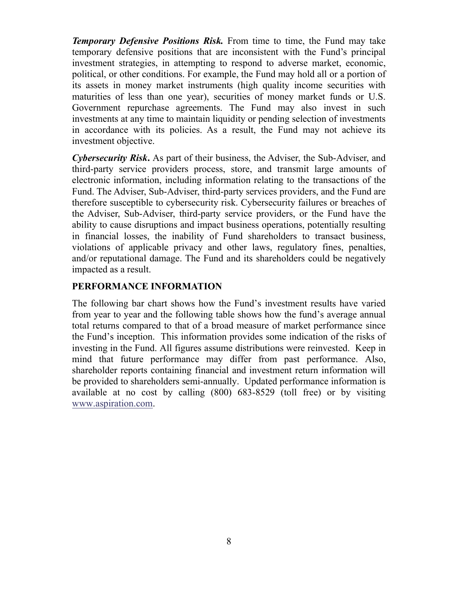*Temporary Defensive Positions Risk.* From time to time, the Fund may take temporary defensive positions that are inconsistent with the Fund's principal investment strategies, in attempting to respond to adverse market, economic, political, or other conditions. For example, the Fund may hold all or a portion of its assets in money market instruments (high quality income securities with maturities of less than one year), securities of money market funds or U.S. Government repurchase agreements. The Fund may also invest in such investments at any time to maintain liquidity or pending selection of investments in accordance with its policies. As a result, the Fund may not achieve its investment objective.

*Cybersecurity Risk***.** As part of their business, the Adviser, the Sub-Adviser, and third-party service providers process, store, and transmit large amounts of electronic information, including information relating to the transactions of the Fund. The Adviser, Sub-Adviser, third-party services providers, and the Fund are therefore susceptible to cybersecurity risk. Cybersecurity failures or breaches of the Adviser, Sub-Adviser, third-party service providers, or the Fund have the ability to cause disruptions and impact business operations, potentially resulting in financial losses, the inability of Fund shareholders to transact business, violations of applicable privacy and other laws, regulatory fines, penalties, and/or reputational damage. The Fund and its shareholders could be negatively impacted as a result.

# **PERFORMANCE INFORMATION**

The following bar chart shows how the Fund's investment results have varied from year to year and the following table shows how the fund's average annual total returns compared to that of a broad measure of market performance since the Fund's inception. This information provides some indication of the risks of investing in the Fund. All figures assume distributions were reinvested. Keep in mind that future performance may differ from past performance. Also, shareholder reports containing financial and investment return information will be provided to shareholders semi-annually. Updated performance information is available at no cost by calling (800) 683-8529 (toll free) or by visiting www.aspiration.com.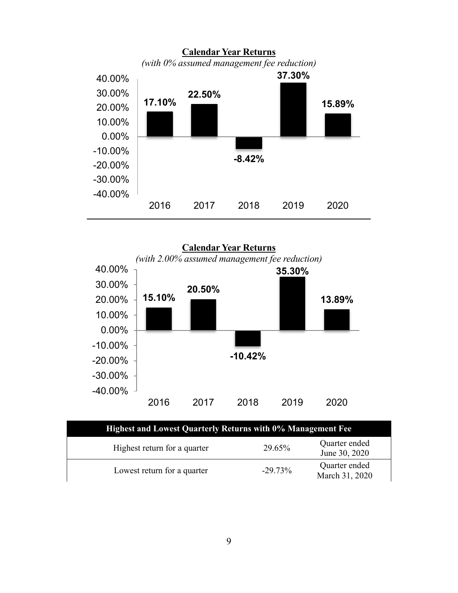

**Calendar Year Returns**  *(with 2.00% assumed management fee reduction)* **15.10% 20.50% -10.42% 35.30% 13.89%** -40.00% -30.00% -20.00% -10.00% 0.00% 10.00% 20.00% 30.00% 40.00% 2016 2017 2018 2019 2020

| <b>Highest and Lowest Quarterly Returns with 0% Management Fee</b> |            |                                 |  |
|--------------------------------------------------------------------|------------|---------------------------------|--|
| Highest return for a quarter                                       | 29.65%     | Quarter ended<br>June 30, 2020  |  |
| Lowest return for a quarter                                        | $-29.73\%$ | Quarter ended<br>March 31, 2020 |  |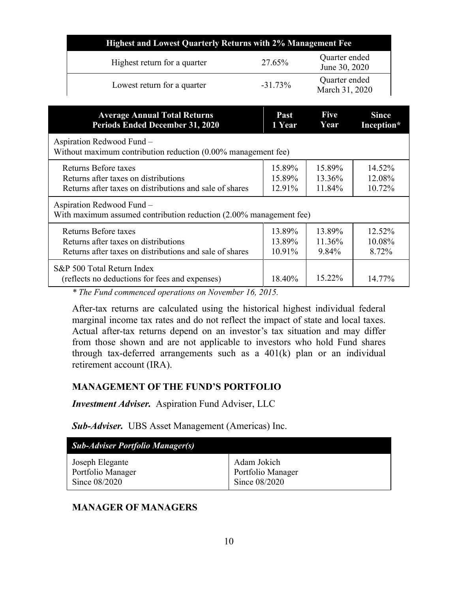| <b>Highest and Lowest Quarterly Returns with 2% Management Fee</b> |            |                                 |  |
|--------------------------------------------------------------------|------------|---------------------------------|--|
| Highest return for a quarter                                       | 27.65%     | Quarter ended<br>June 30, 2020  |  |
| Lowest return for a quarter                                        | $-31.73\%$ | Quarter ended<br>March 31, 2020 |  |

| <b>Average Annual Total Returns</b>                                                             | Past      | <b>Five</b> | <b>Since</b> |
|-------------------------------------------------------------------------------------------------|-----------|-------------|--------------|
| <b>Periods Ended December 31, 2020</b>                                                          | 1 Year    | Year        | Inception*   |
| Aspiration Redwood Fund -<br>Without maximum contribution reduction (0.00% management fee)      |           |             |              |
| Returns Before taxes                                                                            | 15.89%    | 15.89%      | 14.52%       |
| Returns after taxes on distributions                                                            | 15.89%    | 13.36%      | 12.08%       |
| Returns after taxes on distributions and sale of shares                                         | 12.91%    | 11.84%      | 10.72%       |
| Aspiration Redwood Fund -<br>With maximum assumed contribution reduction (2.00% management fee) |           |             |              |
| Returns Before taxes                                                                            | 13.89%    | 13.89%      | 12.52%       |
| Returns after taxes on distributions                                                            | 13.89%    | 11.36%      | 10.08%       |
| Returns after taxes on distributions and sale of shares                                         | $10.91\%$ | 9.84%       | 8.72%        |
| S&P 500 Total Return Index<br>(reflects no deductions for fees and expenses)                    | 18.40%    | 15.22%      | 14.77%       |

*\* The Fund commenced operations on November 16, 2015.* 

After-tax returns are calculated using the historical highest individual federal marginal income tax rates and do not reflect the impact of state and local taxes. Actual after-tax returns depend on an investor's tax situation and may differ from those shown and are not applicable to investors who hold Fund shares through tax-deferred arrangements such as a 401(k) plan or an individual retirement account (IRA).

# **MANAGEMENT OF THE FUND'S PORTFOLIO**

*Investment Adviser.* Aspiration Fund Adviser, LLC

*Sub-Adviser.* UBS Asset Management (Americas) Inc.

| <b>Sub-Adviser Portfolio Manager(s)</b> |                   |
|-----------------------------------------|-------------------|
| Joseph Elegante                         | Adam Jokich       |
| Portfolio Manager                       | Portfolio Manager |
| Since 08/2020                           | Since 08/2020     |

# **MANAGER OF MANAGERS**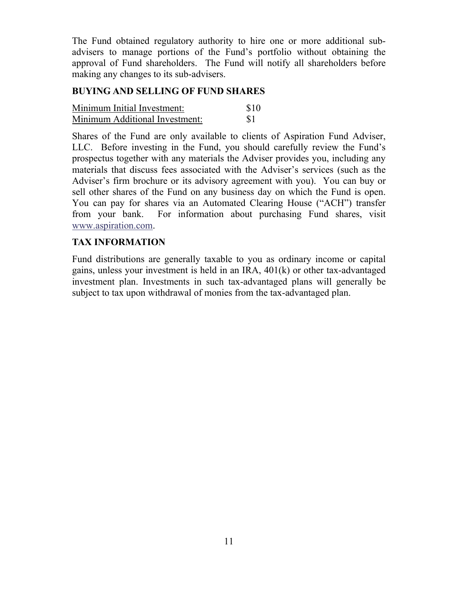The Fund obtained regulatory authority to hire one or more additional subadvisers to manage portions of the Fund's portfolio without obtaining the approval of Fund shareholders. The Fund will notify all shareholders before making any changes to its sub-advisers.

# **BUYING AND SELLING OF FUND SHARES**

| Minimum Initial Investment:    | \$10 |
|--------------------------------|------|
| Minimum Additional Investment: | -81  |

Shares of the Fund are only available to clients of Aspiration Fund Adviser, LLC. Before investing in the Fund, you should carefully review the Fund's prospectus together with any materials the Adviser provides you, including any materials that discuss fees associated with the Adviser's services (such as the Adviser's firm brochure or its advisory agreement with you). You can buy or sell other shares of the Fund on any business day on which the Fund is open. You can pay for shares via an Automated Clearing House ("ACH") transfer from your bank. For information about purchasing Fund shares, visit www.aspiration.com.

# **TAX INFORMATION**

Fund distributions are generally taxable to you as ordinary income or capital gains, unless your investment is held in an IRA, 401(k) or other tax-advantaged investment plan. Investments in such tax-advantaged plans will generally be subject to tax upon withdrawal of monies from the tax-advantaged plan.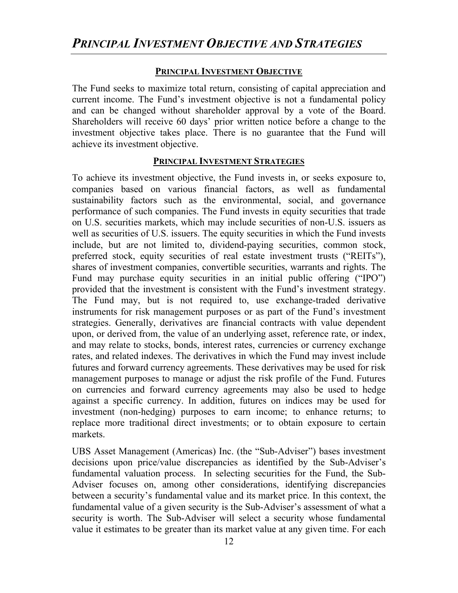#### **PRINCIPAL INVESTMENT OBJECTIVE**

The Fund seeks to maximize total return, consisting of capital appreciation and current income. The Fund's investment objective is not a fundamental policy and can be changed without shareholder approval by a vote of the Board. Shareholders will receive 60 days' prior written notice before a change to the investment objective takes place. There is no guarantee that the Fund will achieve its investment objective.

#### **PRINCIPAL INVESTMENT STRATEGIES**

To achieve its investment objective, the Fund invests in, or seeks exposure to, companies based on various financial factors, as well as fundamental sustainability factors such as the environmental, social, and governance performance of such companies. The Fund invests in equity securities that trade on U.S. securities markets, which may include securities of non-U.S. issuers as well as securities of U.S. issuers. The equity securities in which the Fund invests include, but are not limited to, dividend-paying securities, common stock, preferred stock, equity securities of real estate investment trusts ("REITs"), shares of investment companies, convertible securities, warrants and rights. The Fund may purchase equity securities in an initial public offering ("IPO") provided that the investment is consistent with the Fund's investment strategy. The Fund may, but is not required to, use exchange-traded derivative instruments for risk management purposes or as part of the Fund's investment strategies. Generally, derivatives are financial contracts with value dependent upon, or derived from, the value of an underlying asset, reference rate, or index, and may relate to stocks, bonds, interest rates, currencies or currency exchange rates, and related indexes. The derivatives in which the Fund may invest include futures and forward currency agreements. These derivatives may be used for risk management purposes to manage or adjust the risk profile of the Fund. Futures on currencies and forward currency agreements may also be used to hedge against a specific currency. In addition, futures on indices may be used for investment (non-hedging) purposes to earn income; to enhance returns; to replace more traditional direct investments; or to obtain exposure to certain markets.

UBS Asset Management (Americas) Inc. (the "Sub-Adviser") bases investment decisions upon price/value discrepancies as identified by the Sub-Adviser's fundamental valuation process. In selecting securities for the Fund, the Sub-Adviser focuses on, among other considerations, identifying discrepancies between a security's fundamental value and its market price. In this context, the fundamental value of a given security is the Sub-Adviser's assessment of what a security is worth. The Sub-Adviser will select a security whose fundamental value it estimates to be greater than its market value at any given time. For each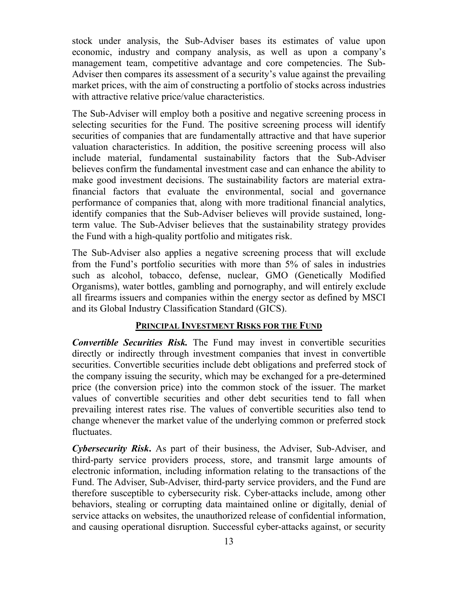stock under analysis, the Sub-Adviser bases its estimates of value upon economic, industry and company analysis, as well as upon a company's management team, competitive advantage and core competencies. The Sub-Adviser then compares its assessment of a security's value against the prevailing market prices, with the aim of constructing a portfolio of stocks across industries with attractive relative price/value characteristics.

The Sub-Adviser will employ both a positive and negative screening process in selecting securities for the Fund. The positive screening process will identify securities of companies that are fundamentally attractive and that have superior valuation characteristics. In addition, the positive screening process will also include material, fundamental sustainability factors that the Sub-Adviser believes confirm the fundamental investment case and can enhance the ability to make good investment decisions. The sustainability factors are material extrafinancial factors that evaluate the environmental, social and governance performance of companies that, along with more traditional financial analytics, identify companies that the Sub-Adviser believes will provide sustained, longterm value. The Sub-Adviser believes that the sustainability strategy provides the Fund with a high-quality portfolio and mitigates risk.

The Sub-Adviser also applies a negative screening process that will exclude from the Fund's portfolio securities with more than 5% of sales in industries such as alcohol, tobacco, defense, nuclear, GMO (Genetically Modified Organisms), water bottles, gambling and pornography, and will entirely exclude all firearms issuers and companies within the energy sector as defined by MSCI and its Global Industry Classification Standard (GICS).

# **PRINCIPAL INVESTMENT RISKS FOR THE FUND**

*Convertible Securities Risk.* The Fund may invest in convertible securities directly or indirectly through investment companies that invest in convertible securities. Convertible securities include debt obligations and preferred stock of the company issuing the security, which may be exchanged for a pre-determined price (the conversion price) into the common stock of the issuer. The market values of convertible securities and other debt securities tend to fall when prevailing interest rates rise. The values of convertible securities also tend to change whenever the market value of the underlying common or preferred stock fluctuates.

*Cybersecurity Risk***.** As part of their business, the Adviser, Sub-Adviser, and third-party service providers process, store, and transmit large amounts of electronic information, including information relating to the transactions of the Fund. The Adviser, Sub-Adviser, third-party service providers, and the Fund are therefore susceptible to cybersecurity risk. Cyber-attacks include, among other behaviors, stealing or corrupting data maintained online or digitally, denial of service attacks on websites, the unauthorized release of confidential information, and causing operational disruption. Successful cyber-attacks against, or security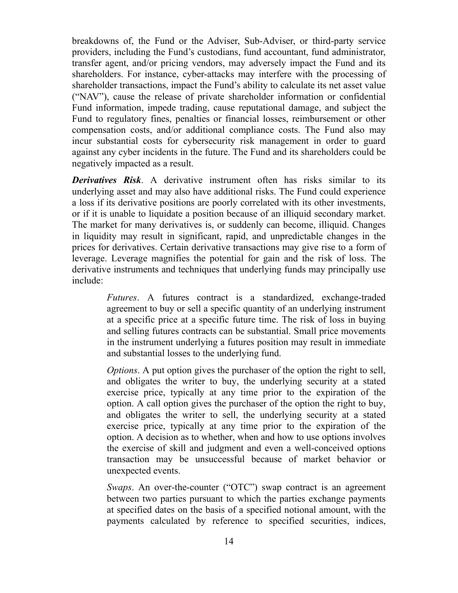breakdowns of, the Fund or the Adviser, Sub-Adviser, or third-party service providers, including the Fund's custodians, fund accountant, fund administrator, transfer agent, and/or pricing vendors, may adversely impact the Fund and its shareholders. For instance, cyber-attacks may interfere with the processing of shareholder transactions, impact the Fund's ability to calculate its net asset value ("NAV"), cause the release of private shareholder information or confidential Fund information, impede trading, cause reputational damage, and subject the Fund to regulatory fines, penalties or financial losses, reimbursement or other compensation costs, and/or additional compliance costs. The Fund also may incur substantial costs for cybersecurity risk management in order to guard against any cyber incidents in the future. The Fund and its shareholders could be negatively impacted as a result.

*Derivatives Risk*. A derivative instrument often has risks similar to its underlying asset and may also have additional risks. The Fund could experience a loss if its derivative positions are poorly correlated with its other investments, or if it is unable to liquidate a position because of an illiquid secondary market. The market for many derivatives is, or suddenly can become, illiquid. Changes in liquidity may result in significant, rapid, and unpredictable changes in the prices for derivatives. Certain derivative transactions may give rise to a form of leverage. Leverage magnifies the potential for gain and the risk of loss. The derivative instruments and techniques that underlying funds may principally use include:

> *Futures*. A futures contract is a standardized, exchange-traded agreement to buy or sell a specific quantity of an underlying instrument at a specific price at a specific future time. The risk of loss in buying and selling futures contracts can be substantial. Small price movements in the instrument underlying a futures position may result in immediate and substantial losses to the underlying fund.

> *Options*. A put option gives the purchaser of the option the right to sell, and obligates the writer to buy, the underlying security at a stated exercise price, typically at any time prior to the expiration of the option. A call option gives the purchaser of the option the right to buy, and obligates the writer to sell, the underlying security at a stated exercise price, typically at any time prior to the expiration of the option. A decision as to whether, when and how to use options involves the exercise of skill and judgment and even a well-conceived options transaction may be unsuccessful because of market behavior or unexpected events.

> *Swaps*. An over-the-counter ("OTC") swap contract is an agreement between two parties pursuant to which the parties exchange payments at specified dates on the basis of a specified notional amount, with the payments calculated by reference to specified securities, indices,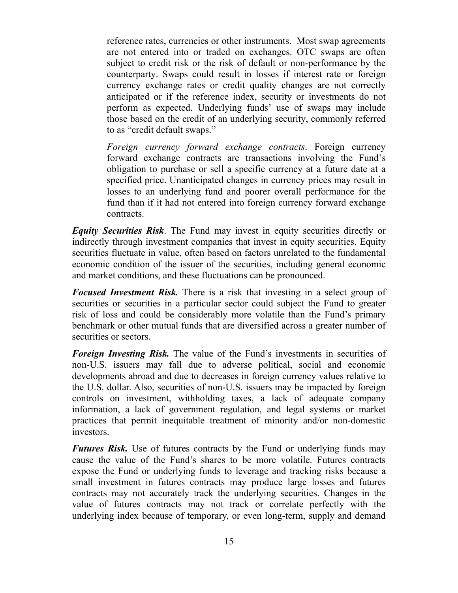reference rates, currencies or other instruments. Most swap agreements are not entered into or traded on exchanges. OTC swaps are often subject to credit risk or the risk of default or non-performance by the counterparty. Swaps could result in losses if interest rate or foreign currency exchange rates or credit quality changes are not correctly anticipated or if the reference index, security or investments do not perform as expected. Underlying funds' use of swaps may include those based on the credit of an underlying security, commonly referred to as "credit default swaps."

*Foreign currency forward exchange contracts*. Foreign currency forward exchange contracts are transactions involving the Fund's obligation to purchase or sell a specific currency at a future date at a specified price. Unanticipated changes in currency prices may result in losses to an underlying fund and poorer overall performance for the fund than if it had not entered into foreign currency forward exchange contracts.

*Equity Securities Risk*. The Fund may invest in equity securities directly or indirectly through investment companies that invest in equity securities. Equity securities fluctuate in value, often based on factors unrelated to the fundamental economic condition of the issuer of the securities, including general economic and market conditions, and these fluctuations can be pronounced.

*Focused Investment Risk.* There is a risk that investing in a select group of securities or securities in a particular sector could subject the Fund to greater risk of loss and could be considerably more volatile than the Fund's primary benchmark or other mutual funds that are diversified across a greater number of securities or sectors.

*Foreign Investing Risk.* The value of the Fund's investments in securities of non-U.S. issuers may fall due to adverse political, social and economic developments abroad and due to decreases in foreign currency values relative to the U.S. dollar. Also, securities of non-U.S. issuers may be impacted by foreign controls on investment, withholding taxes, a lack of adequate company information, a lack of government regulation, and legal systems or market practices that permit inequitable treatment of minority and/or non-domestic investors.

*Futures Risk.* Use of futures contracts by the Fund or underlying funds may cause the value of the Fund's shares to be more volatile. Futures contracts expose the Fund or underlying funds to leverage and tracking risks because a small investment in futures contracts may produce large losses and futures contracts may not accurately track the underlying securities. Changes in the value of futures contracts may not track or correlate perfectly with the underlying index because of temporary, or even long-term, supply and demand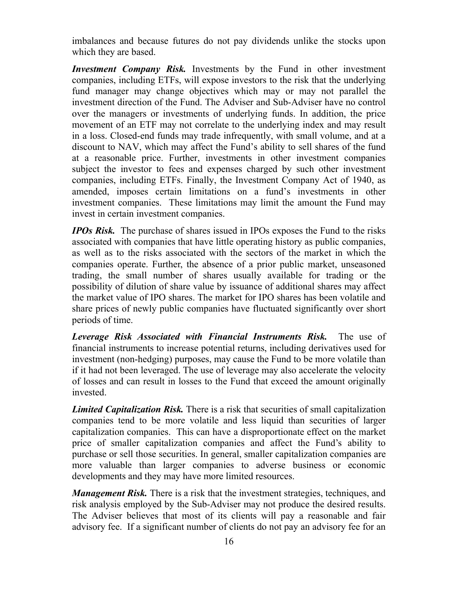imbalances and because futures do not pay dividends unlike the stocks upon which they are based.

*Investment Company Risk.* Investments by the Fund in other investment companies, including ETFs, will expose investors to the risk that the underlying fund manager may change objectives which may or may not parallel the investment direction of the Fund. The Adviser and Sub-Adviser have no control over the managers or investments of underlying funds. In addition, the price movement of an ETF may not correlate to the underlying index and may result in a loss. Closed-end funds may trade infrequently, with small volume, and at a discount to NAV, which may affect the Fund's ability to sell shares of the fund at a reasonable price. Further, investments in other investment companies subject the investor to fees and expenses charged by such other investment companies, including ETFs. Finally, the Investment Company Act of 1940, as amended, imposes certain limitations on a fund's investments in other investment companies. These limitations may limit the amount the Fund may invest in certain investment companies.

*IPOs Risk.* The purchase of shares issued in IPOs exposes the Fund to the risks associated with companies that have little operating history as public companies, as well as to the risks associated with the sectors of the market in which the companies operate. Further, the absence of a prior public market, unseasoned trading, the small number of shares usually available for trading or the possibility of dilution of share value by issuance of additional shares may affect the market value of IPO shares. The market for IPO shares has been volatile and share prices of newly public companies have fluctuated significantly over short periods of time.

*Leverage Risk Associated with Financial Instruments Risk.* The use of financial instruments to increase potential returns, including derivatives used for investment (non-hedging) purposes, may cause the Fund to be more volatile than if it had not been leveraged. The use of leverage may also accelerate the velocity of losses and can result in losses to the Fund that exceed the amount originally invested.

*Limited Capitalization Risk.* There is a risk that securities of small capitalization companies tend to be more volatile and less liquid than securities of larger capitalization companies. This can have a disproportionate effect on the market price of smaller capitalization companies and affect the Fund's ability to purchase or sell those securities. In general, smaller capitalization companies are more valuable than larger companies to adverse business or economic developments and they may have more limited resources.

*Management Risk.* There is a risk that the investment strategies, techniques, and risk analysis employed by the Sub-Adviser may not produce the desired results. The Adviser believes that most of its clients will pay a reasonable and fair advisory fee. If a significant number of clients do not pay an advisory fee for an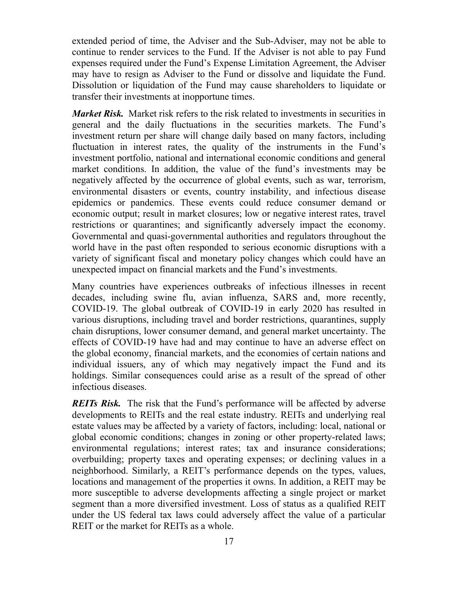extended period of time, the Adviser and the Sub-Adviser, may not be able to continue to render services to the Fund. If the Adviser is not able to pay Fund expenses required under the Fund's Expense Limitation Agreement, the Adviser may have to resign as Adviser to the Fund or dissolve and liquidate the Fund. Dissolution or liquidation of the Fund may cause shareholders to liquidate or transfer their investments at inopportune times.

*Market Risk.* Market risk refers to the risk related to investments in securities in general and the daily fluctuations in the securities markets. The Fund's investment return per share will change daily based on many factors, including fluctuation in interest rates, the quality of the instruments in the Fund's investment portfolio, national and international economic conditions and general market conditions. In addition, the value of the fund's investments may be negatively affected by the occurrence of global events, such as war, terrorism, environmental disasters or events, country instability, and infectious disease epidemics or pandemics. These events could reduce consumer demand or economic output; result in market closures; low or negative interest rates, travel restrictions or quarantines; and significantly adversely impact the economy. Governmental and quasi-governmental authorities and regulators throughout the world have in the past often responded to serious economic disruptions with a variety of significant fiscal and monetary policy changes which could have an unexpected impact on financial markets and the Fund's investments.

Many countries have experiences outbreaks of infectious illnesses in recent decades, including swine flu, avian influenza, SARS and, more recently, COVID-19. The global outbreak of COVID-19 in early 2020 has resulted in various disruptions, including travel and border restrictions, quarantines, supply chain disruptions, lower consumer demand, and general market uncertainty. The effects of COVID-19 have had and may continue to have an adverse effect on the global economy, financial markets, and the economies of certain nations and individual issuers, any of which may negatively impact the Fund and its holdings. Similar consequences could arise as a result of the spread of other infectious diseases.

*REITs Risk.* The risk that the Fund's performance will be affected by adverse developments to REITs and the real estate industry. REITs and underlying real estate values may be affected by a variety of factors, including: local, national or global economic conditions; changes in zoning or other property-related laws; environmental regulations; interest rates; tax and insurance considerations; overbuilding; property taxes and operating expenses; or declining values in a neighborhood. Similarly, a REIT's performance depends on the types, values, locations and management of the properties it owns. In addition, a REIT may be more susceptible to adverse developments affecting a single project or market segment than a more diversified investment. Loss of status as a qualified REIT under the US federal tax laws could adversely affect the value of a particular REIT or the market for REITs as a whole.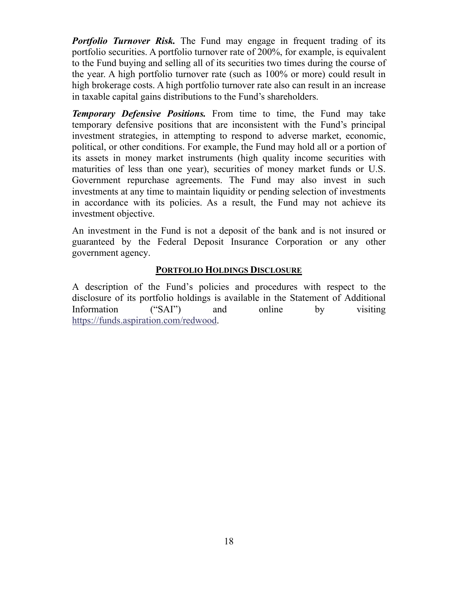*Portfolio Turnover Risk.* The Fund may engage in frequent trading of its portfolio securities. A portfolio turnover rate of 200%, for example, is equivalent to the Fund buying and selling all of its securities two times during the course of the year. A high portfolio turnover rate (such as 100% or more) could result in high brokerage costs. A high portfolio turnover rate also can result in an increase in taxable capital gains distributions to the Fund's shareholders.

*Temporary Defensive Positions.* From time to time, the Fund may take temporary defensive positions that are inconsistent with the Fund's principal investment strategies, in attempting to respond to adverse market, economic, political, or other conditions. For example, the Fund may hold all or a portion of its assets in money market instruments (high quality income securities with maturities of less than one year), securities of money market funds or U.S. Government repurchase agreements. The Fund may also invest in such investments at any time to maintain liquidity or pending selection of investments in accordance with its policies. As a result, the Fund may not achieve its investment objective.

An investment in the Fund is not a deposit of the bank and is not insured or guaranteed by the Federal Deposit Insurance Corporation or any other government agency.

# **PORTFOLIO HOLDINGS DISCLOSURE**

A description of the Fund's policies and procedures with respect to the disclosure of its portfolio holdings is available in the Statement of Additional Information ("SAI") and online by visiting https://funds.aspiration.com/redwood.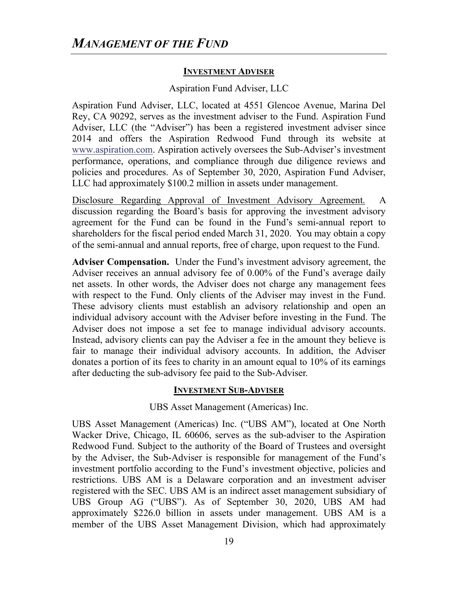## **INVESTMENT ADVISER**

## Aspiration Fund Adviser, LLC

Aspiration Fund Adviser, LLC, located at 4551 Glencoe Avenue, Marina Del Rey, CA 90292, serves as the investment adviser to the Fund. Aspiration Fund Adviser, LLC (the "Adviser") has been a registered investment adviser since 2014 and offers the Aspiration Redwood Fund through its website at www.aspiration.com. Aspiration actively oversees the Sub-Adviser's investment performance, operations, and compliance through due diligence reviews and policies and procedures. As of September 30, 2020, Aspiration Fund Adviser, LLC had approximately \$100.2 million in assets under management.

Disclosure Regarding Approval of Investment Advisory Agreement. A discussion regarding the Board's basis for approving the investment advisory agreement for the Fund can be found in the Fund's semi-annual report to shareholders for the fiscal period ended March 31, 2020. You may obtain a copy of the semi-annual and annual reports, free of charge, upon request to the Fund.

**Adviser Compensation.** Under the Fund's investment advisory agreement, the Adviser receives an annual advisory fee of 0.00% of the Fund's average daily net assets. In other words, the Adviser does not charge any management fees with respect to the Fund. Only clients of the Adviser may invest in the Fund. These advisory clients must establish an advisory relationship and open an individual advisory account with the Adviser before investing in the Fund. The Adviser does not impose a set fee to manage individual advisory accounts. Instead, advisory clients can pay the Adviser a fee in the amount they believe is fair to manage their individual advisory accounts. In addition, the Adviser donates a portion of its fees to charity in an amount equal to 10% of its earnings after deducting the sub-advisory fee paid to the Sub-Adviser.

#### **INVESTMENT SUB-ADVISER**

UBS Asset Management (Americas) Inc.

UBS Asset Management (Americas) Inc. ("UBS AM"), located at One North Wacker Drive, Chicago, IL 60606, serves as the sub-adviser to the Aspiration Redwood Fund. Subject to the authority of the Board of Trustees and oversight by the Adviser, the Sub-Adviser is responsible for management of the Fund's investment portfolio according to the Fund's investment objective, policies and restrictions. UBS AM is a Delaware corporation and an investment adviser registered with the SEC. UBS AM is an indirect asset management subsidiary of UBS Group AG ("UBS"). As of September 30, 2020, UBS AM had approximately \$226.0 billion in assets under management. UBS AM is a member of the UBS Asset Management Division, which had approximately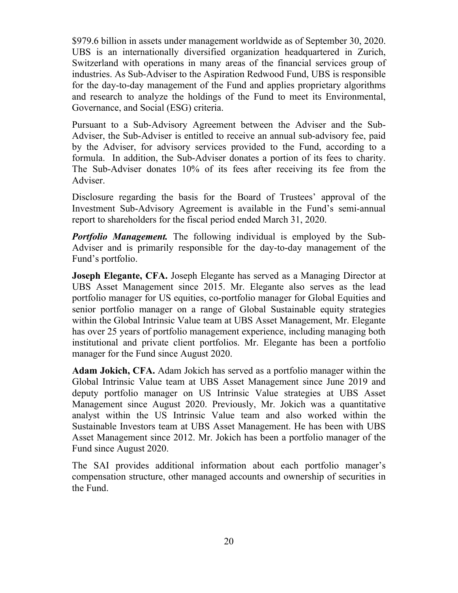\$979.6 billion in assets under management worldwide as of September 30, 2020. UBS is an internationally diversified organization headquartered in Zurich, Switzerland with operations in many areas of the financial services group of industries. As Sub-Adviser to the Aspiration Redwood Fund, UBS is responsible for the day-to-day management of the Fund and applies proprietary algorithms and research to analyze the holdings of the Fund to meet its Environmental, Governance, and Social (ESG) criteria.

Pursuant to a Sub-Advisory Agreement between the Adviser and the Sub-Adviser, the Sub-Adviser is entitled to receive an annual sub-advisory fee, paid by the Adviser, for advisory services provided to the Fund, according to a formula. In addition, the Sub-Adviser donates a portion of its fees to charity. The Sub-Adviser donates 10% of its fees after receiving its fee from the Adviser.

Disclosure regarding the basis for the Board of Trustees' approval of the Investment Sub-Advisory Agreement is available in the Fund's semi-annual report to shareholders for the fiscal period ended March 31, 2020.

*Portfolio Management.* The following individual is employed by the Sub-Adviser and is primarily responsible for the day-to-day management of the Fund's portfolio.

**Joseph Elegante, CFA.** Joseph Elegante has served as a Managing Director at UBS Asset Management since 2015. Mr. Elegante also serves as the lead portfolio manager for US equities, co-portfolio manager for Global Equities and senior portfolio manager on a range of Global Sustainable equity strategies within the Global Intrinsic Value team at UBS Asset Management, Mr. Elegante has over 25 years of portfolio management experience, including managing both institutional and private client portfolios. Mr. Elegante has been a portfolio manager for the Fund since August 2020.

**Adam Jokich, CFA.** Adam Jokich has served as a portfolio manager within the Global Intrinsic Value team at UBS Asset Management since June 2019 and deputy portfolio manager on US Intrinsic Value strategies at UBS Asset Management since August 2020. Previously, Mr. Jokich was a quantitative analyst within the US Intrinsic Value team and also worked within the Sustainable Investors team at UBS Asset Management. He has been with UBS Asset Management since 2012. Mr. Jokich has been a portfolio manager of the Fund since August 2020.

The SAI provides additional information about each portfolio manager's compensation structure, other managed accounts and ownership of securities in the Fund.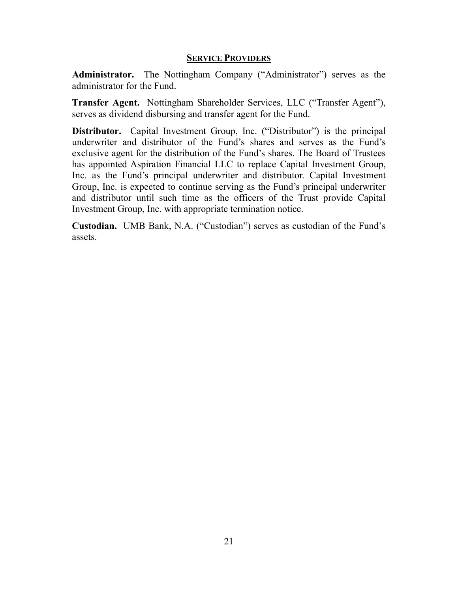## **SERVICE PROVIDERS**

**Administrator.** The Nottingham Company ("Administrator") serves as the administrator for the Fund.

**Transfer Agent.** Nottingham Shareholder Services, LLC ("Transfer Agent"), serves as dividend disbursing and transfer agent for the Fund.

**Distributor.** Capital Investment Group, Inc. ("Distributor") is the principal underwriter and distributor of the Fund's shares and serves as the Fund's exclusive agent for the distribution of the Fund's shares. The Board of Trustees has appointed Aspiration Financial LLC to replace Capital Investment Group, Inc. as the Fund's principal underwriter and distributor. Capital Investment Group, Inc. is expected to continue serving as the Fund's principal underwriter and distributor until such time as the officers of the Trust provide Capital Investment Group, Inc. with appropriate termination notice.

**Custodian.** UMB Bank, N.A. ("Custodian") serves as custodian of the Fund's assets.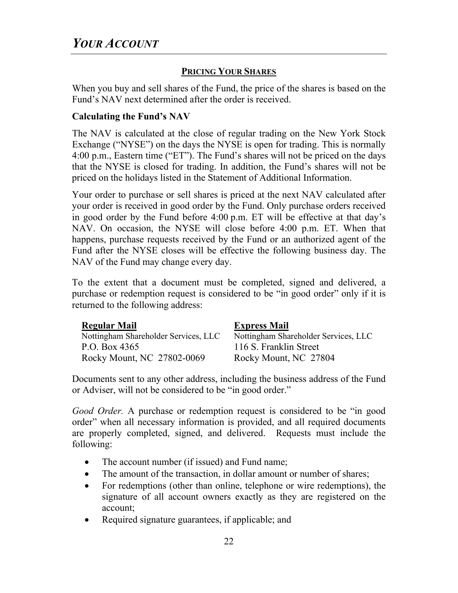# **PRICING YOUR SHARES**

When you buy and sell shares of the Fund, the price of the shares is based on the Fund's NAV next determined after the order is received.

# **Calculating the Fund's NAV**

The NAV is calculated at the close of regular trading on the New York Stock Exchange ("NYSE") on the days the NYSE is open for trading. This is normally 4:00 p.m., Eastern time ("ET"). The Fund's shares will not be priced on the days that the NYSE is closed for trading. In addition, the Fund's shares will not be priced on the holidays listed in the Statement of Additional Information.

Your order to purchase or sell shares is priced at the next NAV calculated after your order is received in good order by the Fund. Only purchase orders received in good order by the Fund before 4:00 p.m. ET will be effective at that day's NAV. On occasion, the NYSE will close before 4:00 p.m. ET. When that happens, purchase requests received by the Fund or an authorized agent of the Fund after the NYSE closes will be effective the following business day. The NAV of the Fund may change every day.

To the extent that a document must be completed, signed and delivered, a purchase or redemption request is considered to be "in good order" only if it is returned to the following address:

| <b>Regular Mail</b>                  | <b>Express Mail</b>                  |
|--------------------------------------|--------------------------------------|
| Nottingham Shareholder Services, LLC | Nottingham Shareholder Services, LLC |
| P.O. Box 4365                        | 116 S. Franklin Street               |
| Rocky Mount, NC 27802-0069           | Rocky Mount, NC 27804                |

Documents sent to any other address, including the business address of the Fund or Adviser, will not be considered to be "in good order."

*Good Order.* A purchase or redemption request is considered to be "in good order" when all necessary information is provided, and all required documents are properly completed, signed, and delivered. Requests must include the following:

- The account number (if issued) and Fund name;
- The amount of the transaction, in dollar amount or number of shares;
- For redemptions (other than online, telephone or wire redemptions), the signature of all account owners exactly as they are registered on the account;
- Required signature guarantees, if applicable; and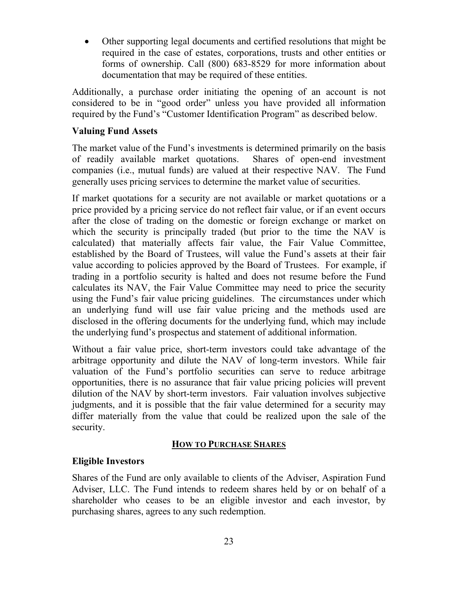Other supporting legal documents and certified resolutions that might be required in the case of estates, corporations, trusts and other entities or forms of ownership. Call (800) 683-8529 for more information about documentation that may be required of these entities.

Additionally, a purchase order initiating the opening of an account is not considered to be in "good order" unless you have provided all information required by the Fund's "Customer Identification Program" as described below.

# **Valuing Fund Assets**

The market value of the Fund's investments is determined primarily on the basis of readily available market quotations. Shares of open-end investment companies (i.e., mutual funds) are valued at their respective NAV. The Fund generally uses pricing services to determine the market value of securities.

If market quotations for a security are not available or market quotations or a price provided by a pricing service do not reflect fair value, or if an event occurs after the close of trading on the domestic or foreign exchange or market on which the security is principally traded (but prior to the time the NAV is calculated) that materially affects fair value, the Fair Value Committee, established by the Board of Trustees, will value the Fund's assets at their fair value according to policies approved by the Board of Trustees. For example, if trading in a portfolio security is halted and does not resume before the Fund calculates its NAV, the Fair Value Committee may need to price the security using the Fund's fair value pricing guidelines. The circumstances under which an underlying fund will use fair value pricing and the methods used are disclosed in the offering documents for the underlying fund, which may include the underlying fund's prospectus and statement of additional information.

Without a fair value price, short-term investors could take advantage of the arbitrage opportunity and dilute the NAV of long-term investors. While fair valuation of the Fund's portfolio securities can serve to reduce arbitrage opportunities, there is no assurance that fair value pricing policies will prevent dilution of the NAV by short-term investors. Fair valuation involves subjective judgments, and it is possible that the fair value determined for a security may differ materially from the value that could be realized upon the sale of the security.

# **HOW TO PURCHASE SHARES**

# **Eligible Investors**

Shares of the Fund are only available to clients of the Adviser, Aspiration Fund Adviser, LLC. The Fund intends to redeem shares held by or on behalf of a shareholder who ceases to be an eligible investor and each investor, by purchasing shares, agrees to any such redemption.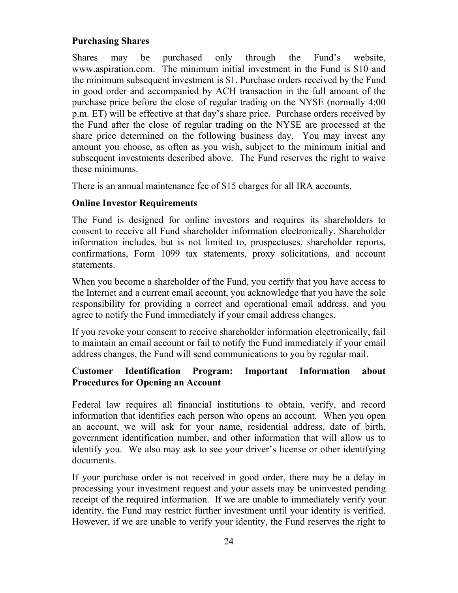# **Purchasing Shares**

Shares may be purchased only through the Fund's website, www.aspiration.com. The minimum initial investment in the Fund is \$10 and the minimum subsequent investment is \$1. Purchase orders received by the Fund in good order and accompanied by ACH transaction in the full amount of the purchase price before the close of regular trading on the NYSE (normally 4:00 p.m. ET) will be effective at that day's share price. Purchase orders received by the Fund after the close of regular trading on the NYSE are processed at the share price determined on the following business day. You may invest any amount you choose, as often as you wish, subject to the minimum initial and subsequent investments described above. The Fund reserves the right to waive these minimums.

There is an annual maintenance fee of \$15 charges for all IRA accounts.

# **Online Investor Requirements**

The Fund is designed for online investors and requires its shareholders to consent to receive all Fund shareholder information electronically. Shareholder information includes, but is not limited to, prospectuses, shareholder reports, confirmations, Form 1099 tax statements, proxy solicitations, and account statements.

When you become a shareholder of the Fund, you certify that you have access to the Internet and a current email account, you acknowledge that you have the sole responsibility for providing a correct and operational email address, and you agree to notify the Fund immediately if your email address changes.

If you revoke your consent to receive shareholder information electronically, fail to maintain an email account or fail to notify the Fund immediately if your email address changes, the Fund will send communications to you by regular mail.

# **Customer Identification Program: Important Information about Procedures for Opening an Account**

Federal law requires all financial institutions to obtain, verify, and record information that identifies each person who opens an account. When you open an account, we will ask for your name, residential address, date of birth, government identification number, and other information that will allow us to identify you. We also may ask to see your driver's license or other identifying documents.

If your purchase order is not received in good order, there may be a delay in processing your investment request and your assets may be uninvested pending receipt of the required information. If we are unable to immediately verify your identity, the Fund may restrict further investment until your identity is verified. However, if we are unable to verify your identity, the Fund reserves the right to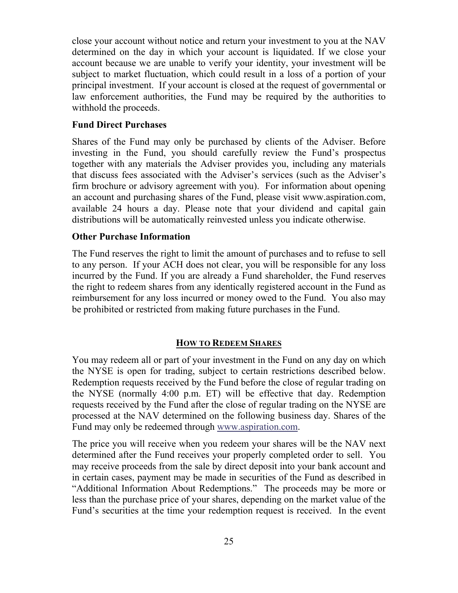close your account without notice and return your investment to you at the NAV determined on the day in which your account is liquidated. If we close your account because we are unable to verify your identity, your investment will be subject to market fluctuation, which could result in a loss of a portion of your principal investment. If your account is closed at the request of governmental or law enforcement authorities, the Fund may be required by the authorities to withhold the proceeds.

## **Fund Direct Purchases**

Shares of the Fund may only be purchased by clients of the Adviser. Before investing in the Fund, you should carefully review the Fund's prospectus together with any materials the Adviser provides you, including any materials that discuss fees associated with the Adviser's services (such as the Adviser's firm brochure or advisory agreement with you). For information about opening an account and purchasing shares of the Fund, please visit www.aspiration.com, available 24 hours a day. Please note that your dividend and capital gain distributions will be automatically reinvested unless you indicate otherwise.

#### **Other Purchase Information**

The Fund reserves the right to limit the amount of purchases and to refuse to sell to any person. If your ACH does not clear, you will be responsible for any loss incurred by the Fund. If you are already a Fund shareholder, the Fund reserves the right to redeem shares from any identically registered account in the Fund as reimbursement for any loss incurred or money owed to the Fund. You also may be prohibited or restricted from making future purchases in the Fund.

#### **HOW TO REDEEM SHARES**

You may redeem all or part of your investment in the Fund on any day on which the NYSE is open for trading, subject to certain restrictions described below. Redemption requests received by the Fund before the close of regular trading on the NYSE (normally 4:00 p.m. ET) will be effective that day. Redemption requests received by the Fund after the close of regular trading on the NYSE are processed at the NAV determined on the following business day. Shares of the Fund may only be redeemed through www.aspiration.com.

The price you will receive when you redeem your shares will be the NAV next determined after the Fund receives your properly completed order to sell. You may receive proceeds from the sale by direct deposit into your bank account and in certain cases, payment may be made in securities of the Fund as described in "Additional Information About Redemptions." The proceeds may be more or less than the purchase price of your shares, depending on the market value of the Fund's securities at the time your redemption request is received. In the event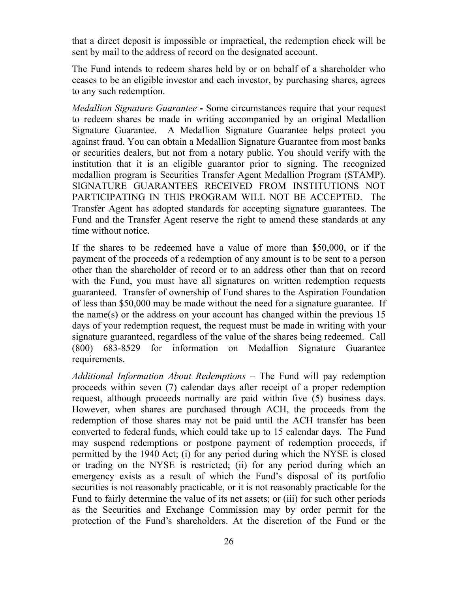that a direct deposit is impossible or impractical, the redemption check will be sent by mail to the address of record on the designated account.

The Fund intends to redeem shares held by or on behalf of a shareholder who ceases to be an eligible investor and each investor, by purchasing shares, agrees to any such redemption.

*Medallion Signature Guarantee* **-** Some circumstances require that your request to redeem shares be made in writing accompanied by an original Medallion Signature Guarantee. A Medallion Signature Guarantee helps protect you against fraud. You can obtain a Medallion Signature Guarantee from most banks or securities dealers, but not from a notary public. You should verify with the institution that it is an eligible guarantor prior to signing. The recognized medallion program is Securities Transfer Agent Medallion Program (STAMP). SIGNATURE GUARANTEES RECEIVED FROM INSTITUTIONS NOT PARTICIPATING IN THIS PROGRAM WILL NOT BE ACCEPTED. The Transfer Agent has adopted standards for accepting signature guarantees. The Fund and the Transfer Agent reserve the right to amend these standards at any time without notice.

If the shares to be redeemed have a value of more than \$50,000, or if the payment of the proceeds of a redemption of any amount is to be sent to a person other than the shareholder of record or to an address other than that on record with the Fund, you must have all signatures on written redemption requests guaranteed. Transfer of ownership of Fund shares to the Aspiration Foundation of less than \$50,000 may be made without the need for a signature guarantee. If the name(s) or the address on your account has changed within the previous 15 days of your redemption request, the request must be made in writing with your signature guaranteed, regardless of the value of the shares being redeemed. Call (800) 683-8529 for information on Medallion Signature Guarantee requirements.

*Additional Information About Redemptions* – The Fund will pay redemption proceeds within seven (7) calendar days after receipt of a proper redemption request, although proceeds normally are paid within five (5) business days. However, when shares are purchased through ACH, the proceeds from the redemption of those shares may not be paid until the ACH transfer has been converted to federal funds, which could take up to 15 calendar days. The Fund may suspend redemptions or postpone payment of redemption proceeds, if permitted by the 1940 Act; (i) for any period during which the NYSE is closed or trading on the NYSE is restricted; (ii) for any period during which an emergency exists as a result of which the Fund's disposal of its portfolio securities is not reasonably practicable, or it is not reasonably practicable for the Fund to fairly determine the value of its net assets; or (iii) for such other periods as the Securities and Exchange Commission may by order permit for the protection of the Fund's shareholders. At the discretion of the Fund or the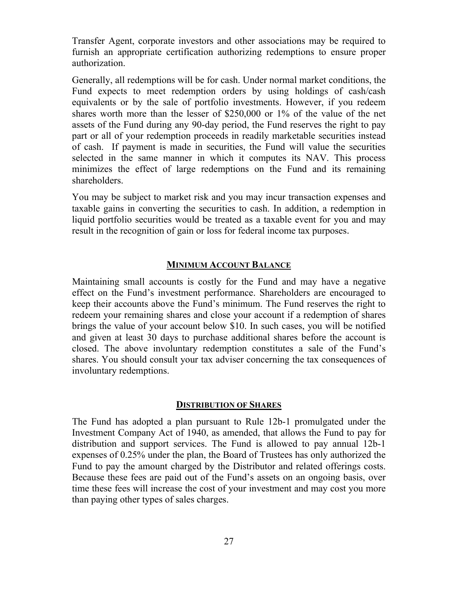Transfer Agent, corporate investors and other associations may be required to furnish an appropriate certification authorizing redemptions to ensure proper authorization.

Generally, all redemptions will be for cash. Under normal market conditions, the Fund expects to meet redemption orders by using holdings of cash/cash equivalents or by the sale of portfolio investments. However, if you redeem shares worth more than the lesser of \$250,000 or 1% of the value of the net assets of the Fund during any 90-day period, the Fund reserves the right to pay part or all of your redemption proceeds in readily marketable securities instead of cash. If payment is made in securities, the Fund will value the securities selected in the same manner in which it computes its NAV. This process minimizes the effect of large redemptions on the Fund and its remaining shareholders.

You may be subject to market risk and you may incur transaction expenses and taxable gains in converting the securities to cash. In addition, a redemption in liquid portfolio securities would be treated as a taxable event for you and may result in the recognition of gain or loss for federal income tax purposes.

#### **MINIMUM ACCOUNT BALANCE**

Maintaining small accounts is costly for the Fund and may have a negative effect on the Fund's investment performance. Shareholders are encouraged to keep their accounts above the Fund's minimum. The Fund reserves the right to redeem your remaining shares and close your account if a redemption of shares brings the value of your account below \$10. In such cases, you will be notified and given at least 30 days to purchase additional shares before the account is closed. The above involuntary redemption constitutes a sale of the Fund's shares. You should consult your tax adviser concerning the tax consequences of involuntary redemptions.

#### **DISTRIBUTION OF SHARES**

The Fund has adopted a plan pursuant to Rule 12b-1 promulgated under the Investment Company Act of 1940, as amended, that allows the Fund to pay for distribution and support services. The Fund is allowed to pay annual 12b-1 expenses of 0.25% under the plan, the Board of Trustees has only authorized the Fund to pay the amount charged by the Distributor and related offerings costs. Because these fees are paid out of the Fund's assets on an ongoing basis, over time these fees will increase the cost of your investment and may cost you more than paying other types of sales charges.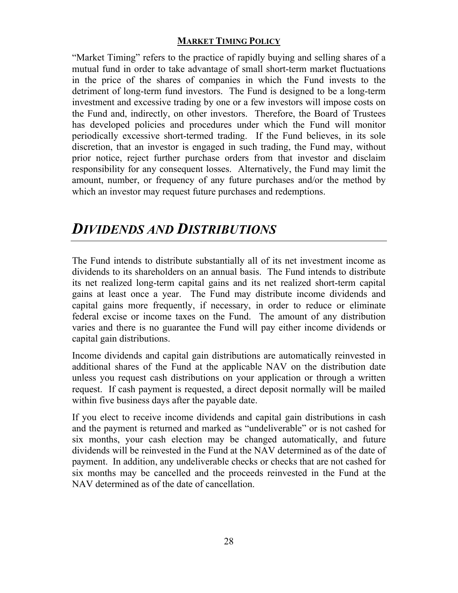# **MARKET TIMING POLICY**

"Market Timing" refers to the practice of rapidly buying and selling shares of a mutual fund in order to take advantage of small short-term market fluctuations in the price of the shares of companies in which the Fund invests to the detriment of long-term fund investors. The Fund is designed to be a long-term investment and excessive trading by one or a few investors will impose costs on the Fund and, indirectly, on other investors. Therefore, the Board of Trustees has developed policies and procedures under which the Fund will monitor periodically excessive short-termed trading. If the Fund believes, in its sole discretion, that an investor is engaged in such trading, the Fund may, without prior notice, reject further purchase orders from that investor and disclaim responsibility for any consequent losses. Alternatively, the Fund may limit the amount, number, or frequency of any future purchases and/or the method by which an investor may request future purchases and redemptions.

# *DIVIDENDS AND DISTRIBUTIONS*

The Fund intends to distribute substantially all of its net investment income as dividends to its shareholders on an annual basis. The Fund intends to distribute its net realized long-term capital gains and its net realized short-term capital gains at least once a year. The Fund may distribute income dividends and capital gains more frequently, if necessary, in order to reduce or eliminate federal excise or income taxes on the Fund. The amount of any distribution varies and there is no guarantee the Fund will pay either income dividends or capital gain distributions.

Income dividends and capital gain distributions are automatically reinvested in additional shares of the Fund at the applicable NAV on the distribution date unless you request cash distributions on your application or through a written request. If cash payment is requested, a direct deposit normally will be mailed within five business days after the payable date.

If you elect to receive income dividends and capital gain distributions in cash and the payment is returned and marked as "undeliverable" or is not cashed for six months, your cash election may be changed automatically, and future dividends will be reinvested in the Fund at the NAV determined as of the date of payment. In addition, any undeliverable checks or checks that are not cashed for six months may be cancelled and the proceeds reinvested in the Fund at the NAV determined as of the date of cancellation.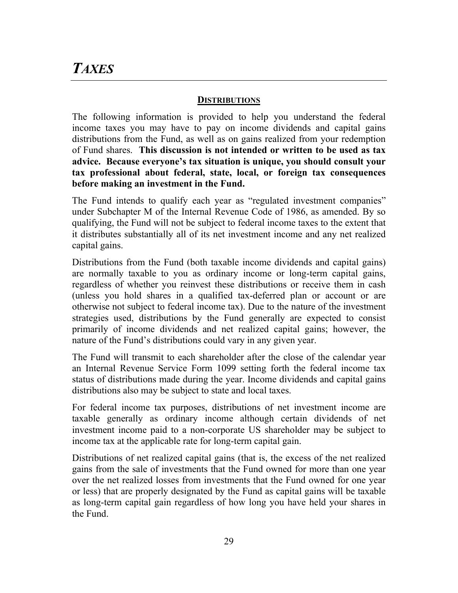# *TAXES*

## **DISTRIBUTIONS**

The following information is provided to help you understand the federal income taxes you may have to pay on income dividends and capital gains distributions from the Fund, as well as on gains realized from your redemption of Fund shares. **This discussion is not intended or written to be used as tax advice. Because everyone's tax situation is unique, you should consult your tax professional about federal, state, local, or foreign tax consequences before making an investment in the Fund.** 

The Fund intends to qualify each year as "regulated investment companies" under Subchapter M of the Internal Revenue Code of 1986, as amended. By so qualifying, the Fund will not be subject to federal income taxes to the extent that it distributes substantially all of its net investment income and any net realized capital gains.

Distributions from the Fund (both taxable income dividends and capital gains) are normally taxable to you as ordinary income or long-term capital gains, regardless of whether you reinvest these distributions or receive them in cash (unless you hold shares in a qualified tax-deferred plan or account or are otherwise not subject to federal income tax). Due to the nature of the investment strategies used, distributions by the Fund generally are expected to consist primarily of income dividends and net realized capital gains; however, the nature of the Fund's distributions could vary in any given year.

The Fund will transmit to each shareholder after the close of the calendar year an Internal Revenue Service Form 1099 setting forth the federal income tax status of distributions made during the year. Income dividends and capital gains distributions also may be subject to state and local taxes.

For federal income tax purposes, distributions of net investment income are taxable generally as ordinary income although certain dividends of net investment income paid to a non-corporate US shareholder may be subject to income tax at the applicable rate for long-term capital gain.

Distributions of net realized capital gains (that is, the excess of the net realized gains from the sale of investments that the Fund owned for more than one year over the net realized losses from investments that the Fund owned for one year or less) that are properly designated by the Fund as capital gains will be taxable as long-term capital gain regardless of how long you have held your shares in the Fund.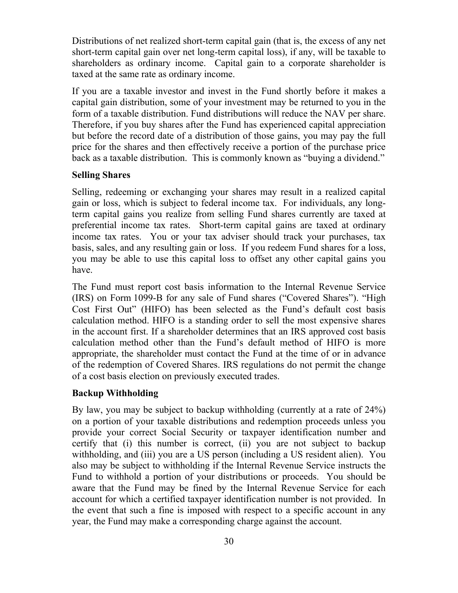Distributions of net realized short-term capital gain (that is, the excess of any net short-term capital gain over net long-term capital loss), if any, will be taxable to shareholders as ordinary income. Capital gain to a corporate shareholder is taxed at the same rate as ordinary income.

If you are a taxable investor and invest in the Fund shortly before it makes a capital gain distribution, some of your investment may be returned to you in the form of a taxable distribution. Fund distributions will reduce the NAV per share. Therefore, if you buy shares after the Fund has experienced capital appreciation but before the record date of a distribution of those gains, you may pay the full price for the shares and then effectively receive a portion of the purchase price back as a taxable distribution. This is commonly known as "buying a dividend."

#### **Selling Shares**

Selling, redeeming or exchanging your shares may result in a realized capital gain or loss, which is subject to federal income tax. For individuals, any longterm capital gains you realize from selling Fund shares currently are taxed at preferential income tax rates. Short-term capital gains are taxed at ordinary income tax rates. You or your tax adviser should track your purchases, tax basis, sales, and any resulting gain or loss. If you redeem Fund shares for a loss, you may be able to use this capital loss to offset any other capital gains you have.

The Fund must report cost basis information to the Internal Revenue Service (IRS) on Form 1099-B for any sale of Fund shares ("Covered Shares"). "High Cost First Out" (HIFO) has been selected as the Fund's default cost basis calculation method. HIFO is a standing order to sell the most expensive shares in the account first. If a shareholder determines that an IRS approved cost basis calculation method other than the Fund's default method of HIFO is more appropriate, the shareholder must contact the Fund at the time of or in advance of the redemption of Covered Shares. IRS regulations do not permit the change of a cost basis election on previously executed trades.

#### **Backup Withholding**

By law, you may be subject to backup withholding (currently at a rate of 24%) on a portion of your taxable distributions and redemption proceeds unless you provide your correct Social Security or taxpayer identification number and certify that (i) this number is correct, (ii) you are not subject to backup withholding, and (iii) you are a US person (including a US resident alien). You also may be subject to withholding if the Internal Revenue Service instructs the Fund to withhold a portion of your distributions or proceeds. You should be aware that the Fund may be fined by the Internal Revenue Service for each account for which a certified taxpayer identification number is not provided. In the event that such a fine is imposed with respect to a specific account in any year, the Fund may make a corresponding charge against the account.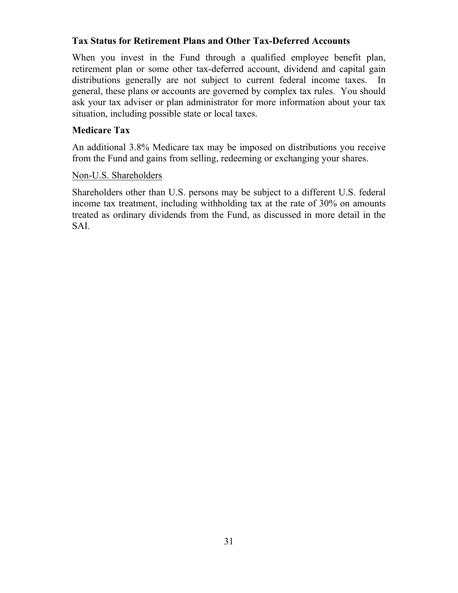# **Tax Status for Retirement Plans and Other Tax-Deferred Accounts**

When you invest in the Fund through a qualified employee benefit plan, retirement plan or some other tax-deferred account, dividend and capital gain distributions generally are not subject to current federal income taxes. In general, these plans or accounts are governed by complex tax rules. You should ask your tax adviser or plan administrator for more information about your tax situation, including possible state or local taxes.

# **Medicare Tax**

An additional 3.8% Medicare tax may be imposed on distributions you receive from the Fund and gains from selling, redeeming or exchanging your shares.

# Non-U.S. Shareholders

Shareholders other than U.S. persons may be subject to a different U.S. federal income tax treatment, including withholding tax at the rate of 30% on amounts treated as ordinary dividends from the Fund, as discussed in more detail in the SAI.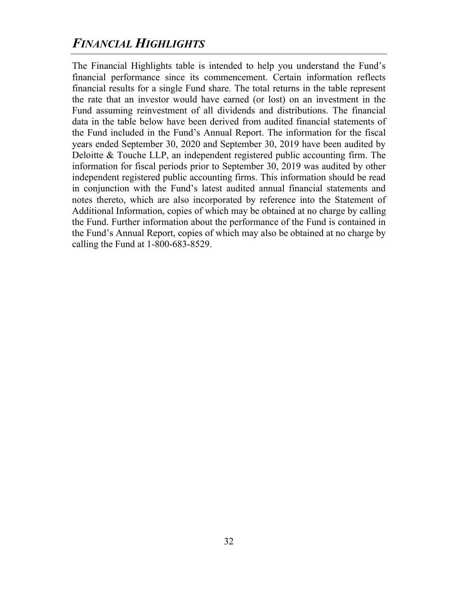# *FINANCIAL HIGHLIGHTS*

The Financial Highlights table is intended to help you understand the Fund's financial performance since its commencement. Certain information reflects financial results for a single Fund share. The total returns in the table represent the rate that an investor would have earned (or lost) on an investment in the Fund assuming reinvestment of all dividends and distributions. The financial data in the table below have been derived from audited financial statements of the Fund included in the Fund's Annual Report. The information for the fiscal years ended September 30, 2020 and September 30, 2019 have been audited by Deloitte & Touche LLP, an independent registered public accounting firm. The information for fiscal periods prior to September 30, 2019 was audited by other independent registered public accounting firms. This information should be read in conjunction with the Fund's latest audited annual financial statements and notes thereto, which are also incorporated by reference into the Statement of Additional Information, copies of which may be obtained at no charge by calling the Fund. Further information about the performance of the Fund is contained in the Fund's Annual Report, copies of which may also be obtained at no charge by calling the Fund at 1-800-683-8529.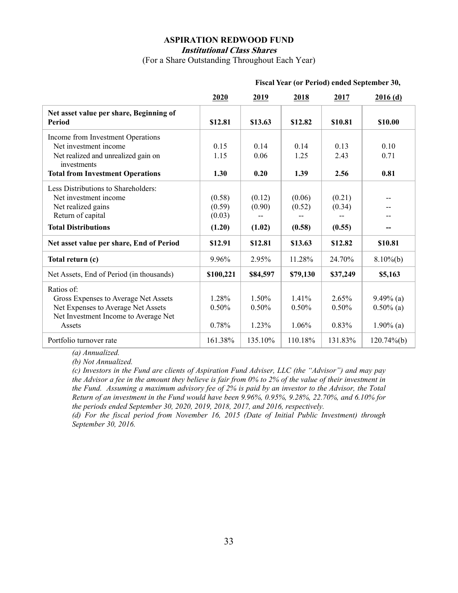#### **ASPIRATION REDWOOD FUND Institutional Class Shares**

(For a Share Outstanding Throughout Each Year)

|                                                                                                                                                             | 2020                                 | 2019                       | 2018                       | 2017                       | 2016(d)                                      |
|-------------------------------------------------------------------------------------------------------------------------------------------------------------|--------------------------------------|----------------------------|----------------------------|----------------------------|----------------------------------------------|
| Net asset value per share, Beginning of<br>Period                                                                                                           | \$12.81                              | \$13.63                    | \$12.82                    | \$10.81                    | \$10.00                                      |
| Income from Investment Operations<br>Net investment income<br>Net realized and unrealized gain on<br>investments<br><b>Total from Investment Operations</b> | 0.15<br>1.15<br>1.30                 | 0.14<br>0.06<br>0.20       | 0.14<br>1.25<br>1.39       | 0.13<br>2.43<br>2.56       | 0.10<br>0.71<br>0.81                         |
| Less Distributions to Shareholders:<br>Net investment income<br>Net realized gains<br>Return of capital<br><b>Total Distributions</b>                       | (0.58)<br>(0.59)<br>(0.03)<br>(1.20) | (0.12)<br>(0.90)<br>(1.02) | (0.06)<br>(0.52)<br>(0.58) | (0.21)<br>(0.34)<br>(0.55) | $-$                                          |
| Net asset value per share, End of Period                                                                                                                    | \$12.91                              | \$12.81                    | \$13.63                    | \$12.82                    | \$10.81                                      |
| Total return (c)                                                                                                                                            | 9.96%                                | 2.95%                      | 11.28%                     | 24.70%                     | $8.10\%$ (b)                                 |
| Net Assets, End of Period (in thousands)                                                                                                                    | \$100,221                            | \$84,597                   | \$79,130                   | \$37,249                   | \$5,163                                      |
| Ratios of:<br>Gross Expenses to Average Net Assets<br>Net Expenses to Average Net Assets<br>Net Investment Income to Average Net<br>Assets                  | 1.28%<br>0.50%<br>0.78%              | 1.50%<br>0.50%<br>1.23%    | 1.41%<br>0.50%<br>1.06%    | 2.65%<br>0.50%<br>$0.83\%$ | $9.49\%$ (a)<br>$0.50\%$ (a)<br>$1.90\%$ (a) |
| Portfolio turnover rate                                                                                                                                     | 161.38%                              | 135.10%                    | 110.18%                    | 131.83%                    | $120.74\%$ (b)                               |

#### **Fiscal Year (or Period) ended September 30,**

*(a) Annualized.* 

*(b) Not Annualized.* 

*(c) Investors in the Fund are clients of Aspiration Fund Adviser, LLC (the "Advisor") and may pay the Advisor a fee in the amount they believe is fair from 0% to 2% of the value of their investment in the Fund. Assuming a maximum advisory fee of 2% is paid by an investor to the Advisor, the Total Return of an investment in the Fund would have been 9.96%, 0.95%, 9.28%, 22.70%, and 6.10% for the periods ended September 30, 2020, 2019, 2018, 2017, and 2016, respectively.* 

*(d) For the fiscal period from November 16, 2015 (Date of Initial Public Investment) through September 30, 2016.*